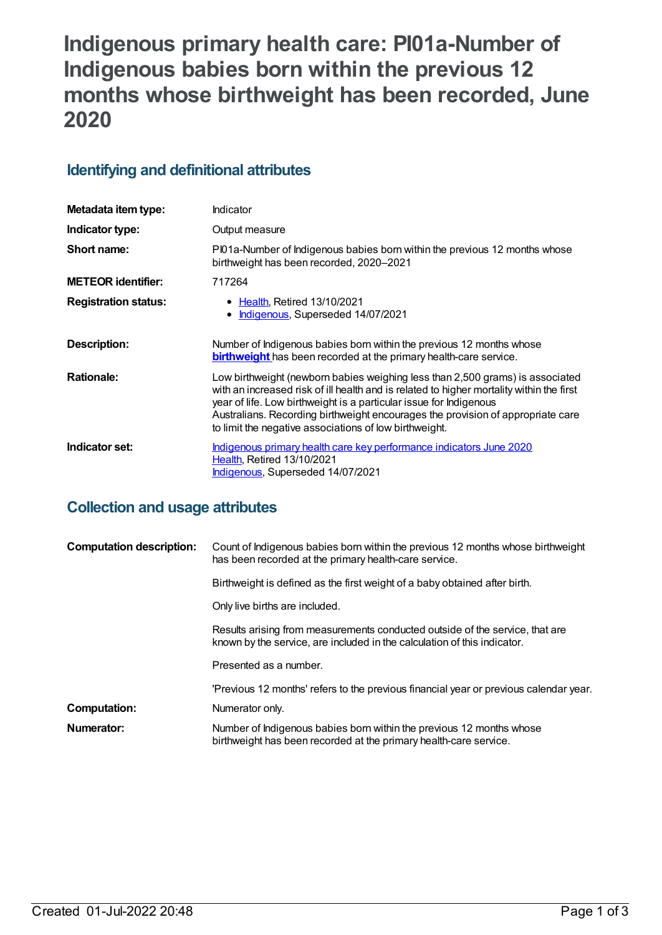# **Indigenous primary health care: PI01a-Number of Indigenous babies born within the previous 12 months whose birthweight has been recorded, June 2020**

## **Identifying and definitional attributes**

| Metadata item type:         | Indicator                                                                                                                                                                                                                                                                                                                                                                                    |
|-----------------------------|----------------------------------------------------------------------------------------------------------------------------------------------------------------------------------------------------------------------------------------------------------------------------------------------------------------------------------------------------------------------------------------------|
| Indicator type:             | Output measure                                                                                                                                                                                                                                                                                                                                                                               |
| Short name:                 | PI01a-Number of Indigenous babies born within the previous 12 months whose<br>birthweight has been recorded, 2020-2021                                                                                                                                                                                                                                                                       |
| <b>METEOR identifier:</b>   | 717264                                                                                                                                                                                                                                                                                                                                                                                       |
| <b>Registration status:</b> | • Health, Retired 13/10/2021<br>Indigenous, Superseded 14/07/2021<br>$\bullet$                                                                                                                                                                                                                                                                                                               |
| Description:                | Number of Indigenous babies born within the previous 12 months whose<br><b>birthweight</b> has been recorded at the primary health-care service.                                                                                                                                                                                                                                             |
| <b>Rationale:</b>           | Low birthweight (newborn babies weighing less than 2,500 grams) is associated<br>with an increased risk of ill health and is related to higher mortality within the first<br>year of life. Low birthweight is a particular issue for Indigenous<br>Australians. Recording birthweight encourages the provision of appropriate care<br>to limit the negative associations of low birthweight. |
| Indicator set:              | Indigenous primary health care key performance indicators June 2020<br>Health, Retired 13/10/2021<br><b>Indigenous, Superseded 14/07/2021</b>                                                                                                                                                                                                                                                |

## **Collection and usage attributes**

| <b>Computation description:</b> | Count of Indigenous babies born within the previous 12 months whose birthweight<br>has been recorded at the primary health-care service.                 |
|---------------------------------|----------------------------------------------------------------------------------------------------------------------------------------------------------|
|                                 | Birthweight is defined as the first weight of a baby obtained after birth.                                                                               |
|                                 | Only live births are included.                                                                                                                           |
|                                 | Results arising from measurements conducted outside of the service, that are<br>known by the service, are included in the calculation of this indicator. |
|                                 | Presented as a number.                                                                                                                                   |
|                                 | 'Previous 12 months' refers to the previous financial year or previous calendar year.                                                                    |
| <b>Computation:</b>             | Numerator only.                                                                                                                                          |
| Numerator:                      | Number of Indigenous babies born within the previous 12 months whose<br>birthweight has been recorded at the primary health-care service.                |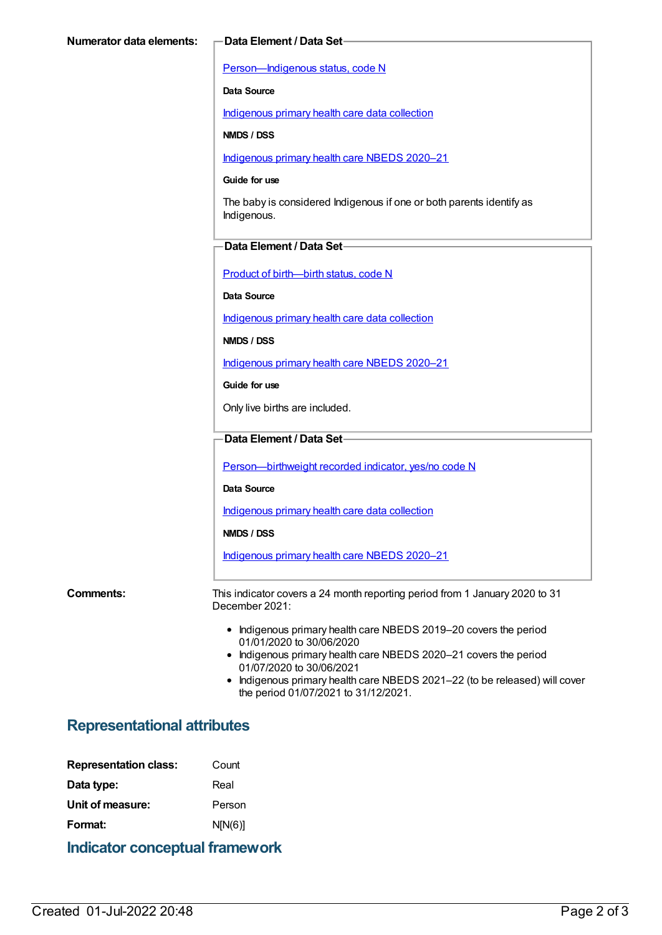[Person—Indigenous](https://meteor.aihw.gov.au/content/602543) status, code N

**Data Source**

[Indigenous](https://meteor.aihw.gov.au/content/430643) primary health care data collection

**NMDS / DSS**

[Indigenous](https://meteor.aihw.gov.au/content/715320) primary health care NBEDS 2020–21

#### **Guide for use**

The baby is considered Indigenous if one or both parents identify as Indigenous.

#### **Data Element / Data Set**

Product of [birth—birth](https://meteor.aihw.gov.au/content/695437) status, code N

**Data Source**

[Indigenous](https://meteor.aihw.gov.au/content/430643) primary health care data collection

**NMDS / DSS**

[Indigenous](https://meteor.aihw.gov.au/content/715320) primary health care NBEDS 2020–21

**Guide for use**

Only live births are included.

#### **Data Element / Data Set**

[Person—birthweight](https://meteor.aihw.gov.au/content/709571) recorded indicator, yes/no code N

**Data Source**

[Indigenous](https://meteor.aihw.gov.au/content/430643) primary health care data collection

**NMDS / DSS**

[Indigenous](https://meteor.aihw.gov.au/content/715320) primary health care NBEDS 2020–21

**Comments:** This indicator covers a 24 month reporting period from 1 January 2020 to 31 December 2021:

- Indigenous primary health care NBEDS 2019-20 covers the period 01/01/2020 to 30/06/2020
- Indigenous primary health care NBEDS 2020-21 covers the period 01/07/2020 to 30/06/2021
- Indigenous primary health care NBEDS 2021-22 (to be released) will cover the period 01/07/2021 to 31/12/2021.

### **Representational attributes**

| <b>Representation class:</b> | Count   |
|------------------------------|---------|
| Data type:                   | Real    |
| Unit of measure:             | Person  |
| Format:                      | N[N(6)] |
|                              |         |

**Indicator conceptual framework**